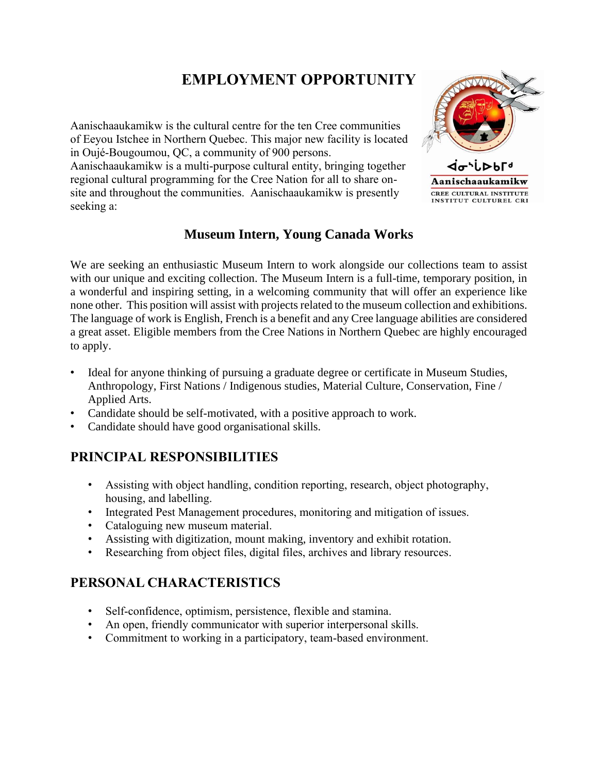# **EMPLOYMENT OPPORTUNITY**

Aanischaaukamikw is the cultural centre for the ten Cree communities of Eeyou Istchee in Northern Quebec. This major new facility is located in Oujé-Bougoumou, QC, a community of 900 persons.

Aanischaaukamikw is a multi-purpose cultural entity, bringing together regional cultural programming for the Cree Nation for all to share onsite and throughout the communities. Aanischaaukamikw is presently seeking a:



## **Museum Intern, Young Canada Works**

We are seeking an enthusiastic Museum Intern to work alongside our collections team to assist with our unique and exciting collection. The Museum Intern is a full-time, temporary position, in a wonderful and inspiring setting, in a welcoming community that will offer an experience like none other. This position will assist with projects related to the museum collection and exhibitions. The language of work is English, French is a benefit and any Cree language abilities are considered a great asset. Eligible members from the Cree Nations in Northern Quebec are highly encouraged to apply.

- Ideal for anyone thinking of pursuing a graduate degree or certificate in Museum Studies, Anthropology, First Nations / Indigenous studies, Material Culture, Conservation, Fine / Applied Arts.
- Candidate should be self-motivated, with a positive approach to work.
- Candidate should have good organisational skills.

#### **PRINCIPAL RESPONSIBILITIES**

- Assisting with object handling, condition reporting, research, object photography, housing, and labelling.
- Integrated Pest Management procedures, monitoring and mitigation of issues.
- Cataloguing new museum material.
- Assisting with digitization, mount making, inventory and exhibit rotation.
- Researching from object files, digital files, archives and library resources.

#### **PERSONAL CHARACTERISTICS**

- Self-confidence, optimism, persistence, flexible and stamina.
- An open, friendly communicator with superior interpersonal skills.
- Commitment to working in a participatory, team-based environment.